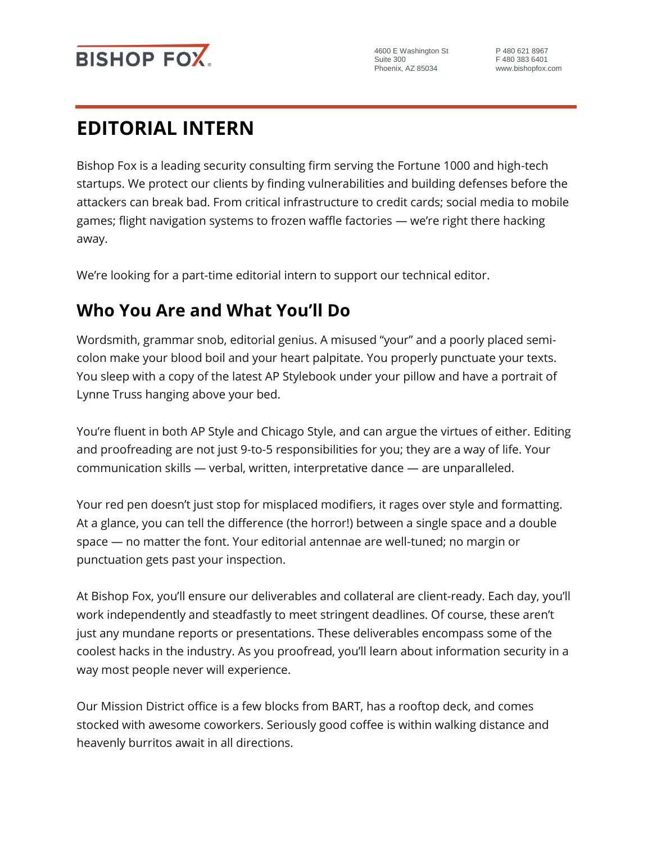

4600 E Washington St Suite 300 Phoenix, AZ 85034

P 480 621 8967 F 480 383 6401 www.bishopfox.com

# **EDITORIAL INTERN**

Bishop Fox is a leading security consulting firm serving the Fortune 1000 and high-tech startups. We protect our clients by finding vulnerabilities and building defenses before the attackers can break bad. From critical infrastructure to credit cards; social media to mobile games; flight navigation systems to frozen waffle factories — we're right there hacking away.

We're looking for a part-time editorial intern to support our technical editor.

## **Who You Are and What You'll Do**

Wordsmith, grammar snob, editorial genius. A misused "your" and a poorly placed semicolon make your blood boil and your heart palpitate. You properly punctuate your texts. You sleep with a copy of the latest AP Stylebook under your pillow and have a portrait of Lynne Truss hanging above your bed.

You're fluent in both AP Style and Chicago Style, and can argue the virtues of either. Editing and proofreading are not just 9-to-5 responsibilities for you; they are a way of life. Your communication skills — verbal, written, interpretative dance — are unparalleled.

Your red pen doesn't just stop for misplaced modifiers, it rages over style and formatting. At a glance, you can tell the difference (the horror!) between a single space and a double space — no matter the font. Your editorial antennae are well-tuned; no margin or punctuation gets past your inspection.

At Bishop Fox, you'll ensure our deliverables and collateral are client-ready. Each day, you'll work independently and steadfastly to meet stringent deadlines. Of course, these aren't just any mundane reports or presentations. These deliverables encompass some of the coolest hacks in the industry. As you proofread, you'll learn about information security in a way most people never will experience.

Our Mission District office is a few blocks from BART, has a rooftop deck, and comes stocked with awesome coworkers. Seriously good coffee is within walking distance and heavenly burritos await in all directions.